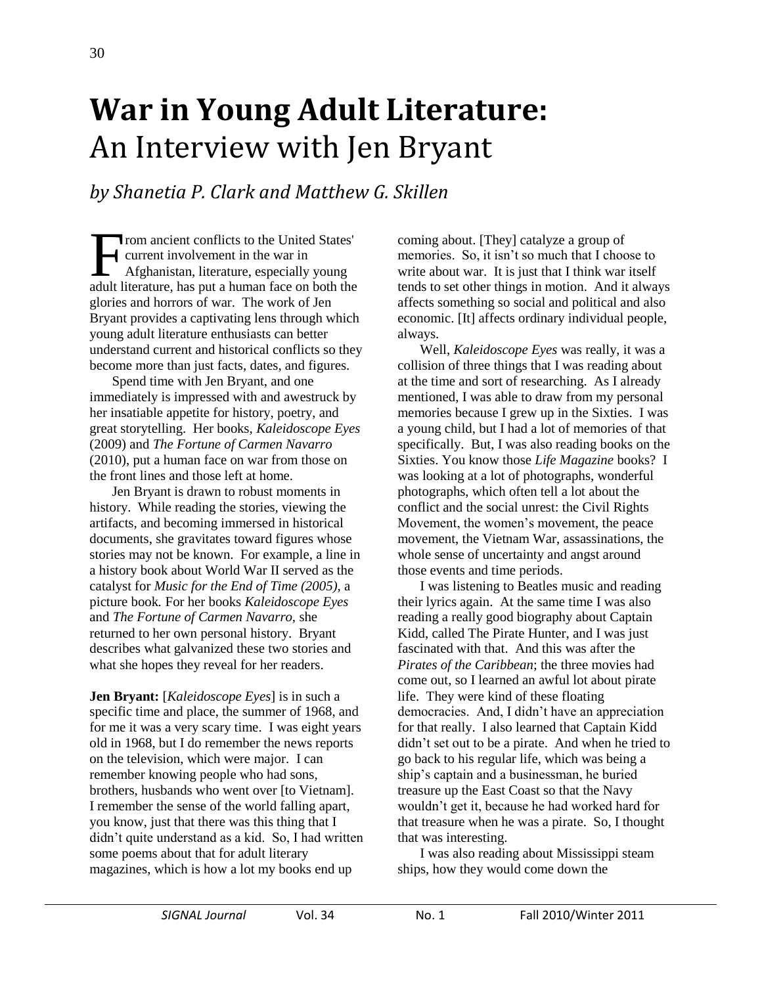## **War in Young Adult Literature:**  An Interview with Jen Bryant

*by Shanetia P. Clark and Matthew G. Skillen*

rom ancient conflicts to the United States' current involvement in the war in Afghanistan, literature, especially young From ancient conflicts to the United States'<br>current involvement in the war in<br>Afghanistan, literature, especially young<br>adult literature, has put a human face on both the glories and horrors of war. The work of Jen Bryant provides a captivating lens through which young adult literature enthusiasts can better understand current and historical conflicts so they become more than just facts, dates, and figures.

Spend time with Jen Bryant, and one immediately is impressed with and awestruck by her insatiable appetite for history, poetry, and great storytelling. Her books, *Kaleidoscope Eyes* (2009) and *The Fortune of Carmen Navarro*  (2010), put a human face on war from those on the front lines and those left at home.

Jen Bryant is drawn to robust moments in history. While reading the stories, viewing the artifacts, and becoming immersed in historical documents, she gravitates toward figures whose stories may not be known. For example, a line in a history book about World War II served as the catalyst for *Music for the End of Time (2005),* a picture book*.* For her books *Kaleidoscope Eyes* and *The Fortune of Carmen Navarro,* she returned to her own personal history. Bryant describes what galvanized these two stories and what she hopes they reveal for her readers.

**Jen Bryant:** [*Kaleidoscope Eyes*] is in such a specific time and place, the summer of 1968, and for me it was a very scary time. I was eight years old in 1968, but I do remember the news reports on the television, which were major. I can remember knowing people who had sons, brothers, husbands who went over [to Vietnam]. I remember the sense of the world falling apart, you know, just that there was this thing that I didn't quite understand as a kid. So, I had written some poems about that for adult literary magazines, which is how a lot my books end up

coming about. [They] catalyze a group of memories. So, it isn't so much that I choose to write about war. It is just that I think war itself tends to set other things in motion. And it always affects something so social and political and also economic. [It] affects ordinary individual people, always.

Well, *Kaleidoscope Eyes* was really, it was a collision of three things that I was reading about at the time and sort of researching. As I already mentioned, I was able to draw from my personal memories because I grew up in the Sixties. I was a young child, but I had a lot of memories of that specifically. But, I was also reading books on the Sixties. You know those *Life Magazine* books? I was looking at a lot of photographs, wonderful photographs, which often tell a lot about the conflict and the social unrest: the Civil Rights Movement, the women's movement, the peace movement, the Vietnam War, assassinations, the whole sense of uncertainty and angst around those events and time periods.

I was listening to Beatles music and reading their lyrics again. At the same time I was also reading a really good biography about Captain Kidd, called The Pirate Hunter, and I was just fascinated with that. And this was after the *Pirates of the Caribbean*; the three movies had come out, so I learned an awful lot about pirate life. They were kind of these floating democracies. And, I didn't have an appreciation for that really. I also learned that Captain Kidd didn't set out to be a pirate. And when he tried to go back to his regular life, which was being a ship's captain and a businessman, he buried treasure up the East Coast so that the Navy wouldn't get it, because he had worked hard for that treasure when he was a pirate. So, I thought that was interesting.

I was also reading about Mississippi steam ships, how they would come down the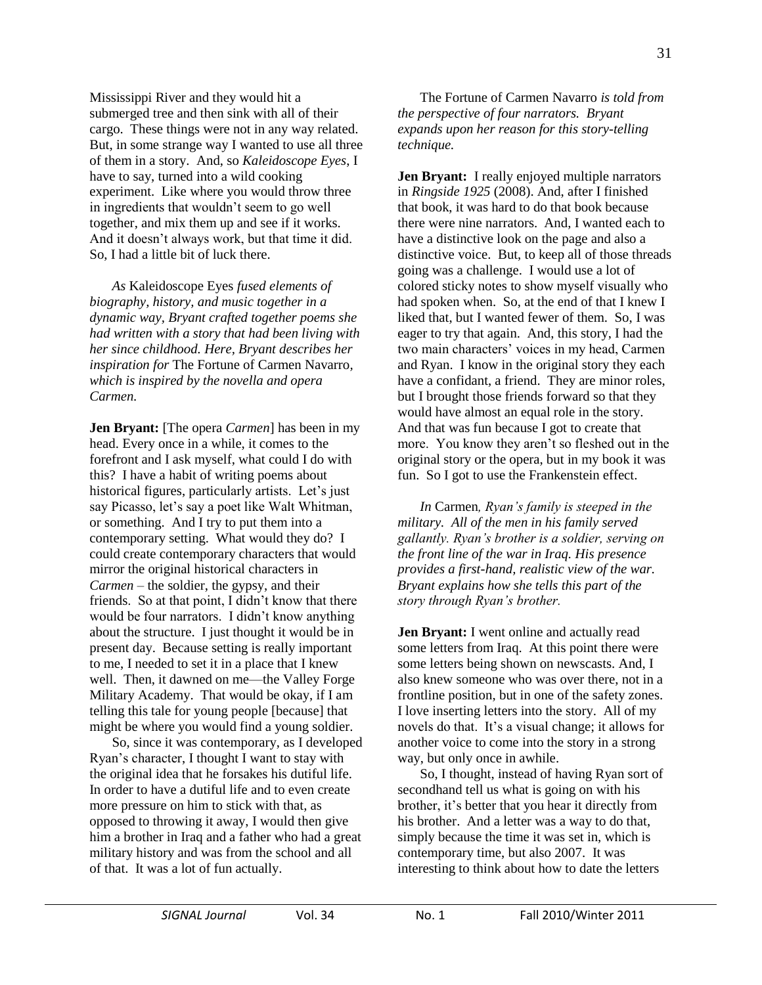Mississippi River and they would hit a submerged tree and then sink with all of their cargo. These things were not in any way related. But, in some strange way I wanted to use all three of them in a story. And, so *Kaleidoscope Eyes*, I have to say, turned into a wild cooking experiment. Like where you would throw three in ingredients that wouldn't seem to go well together, and mix them up and see if it works. And it doesn't always work, but that time it did. So, I had a little bit of luck there.

*As* Kaleidoscope Eyes *fused elements of biography, history, and music together in a dynamic way, Bryant crafted together poems she had written with a story that had been living with her since childhood. Here, Bryant describes her inspiration for* The Fortune of Carmen Navarro*, which is inspired by the novella and opera Carmen.*

**Jen Bryant:** [The opera *Carmen*] has been in my head. Every once in a while, it comes to the forefront and I ask myself, what could I do with this? I have a habit of writing poems about historical figures, particularly artists. Let's just say Picasso, let's say a poet like Walt Whitman, or something. And I try to put them into a contemporary setting. What would they do? I could create contemporary characters that would mirror the original historical characters in *Carmen* – the soldier, the gypsy, and their friends. So at that point, I didn't know that there would be four narrators. I didn't know anything about the structure. I just thought it would be in present day. Because setting is really important to me, I needed to set it in a place that I knew well. Then, it dawned on me—the Valley Forge Military Academy. That would be okay, if I am telling this tale for young people [because] that might be where you would find a young soldier.

So, since it was contemporary, as I developed Ryan's character, I thought I want to stay with the original idea that he forsakes his dutiful life. In order to have a dutiful life and to even create more pressure on him to stick with that, as opposed to throwing it away, I would then give him a brother in Iraq and a father who had a great military history and was from the school and all of that. It was a lot of fun actually.

The Fortune of Carmen Navarro *is told from the perspective of four narrators. Bryant expands upon her reason for this story-telling technique.* 

**Jen Bryant:** I really enjoyed multiple narrators in *Ringside 1925* (2008). And, after I finished that book, it was hard to do that book because there were nine narrators. And, I wanted each to have a distinctive look on the page and also a distinctive voice. But, to keep all of those threads going was a challenge. I would use a lot of colored sticky notes to show myself visually who had spoken when. So, at the end of that I knew I liked that, but I wanted fewer of them. So, I was eager to try that again. And, this story, I had the two main characters' voices in my head, Carmen and Ryan. I know in the original story they each have a confidant, a friend. They are minor roles, but I brought those friends forward so that they would have almost an equal role in the story. And that was fun because I got to create that more. You know they aren't so fleshed out in the original story or the opera, but in my book it was fun. So I got to use the Frankenstein effect.

*In* Carmen*, Ryan's family is steeped in the military. All of the men in his family served gallantly. Ryan's brother is a soldier, serving on the front line of the war in Iraq. His presence provides a first-hand, realistic view of the war. Bryant explains how she tells this part of the story through Ryan's brother.* 

**Jen Bryant:** I went online and actually read some letters from Iraq. At this point there were some letters being shown on newscasts. And, I also knew someone who was over there, not in a frontline position, but in one of the safety zones. I love inserting letters into the story. All of my novels do that. It's a visual change; it allows for another voice to come into the story in a strong way, but only once in awhile.

So, I thought, instead of having Ryan sort of secondhand tell us what is going on with his brother, it's better that you hear it directly from his brother. And a letter was a way to do that, simply because the time it was set in, which is contemporary time, but also 2007. It was interesting to think about how to date the letters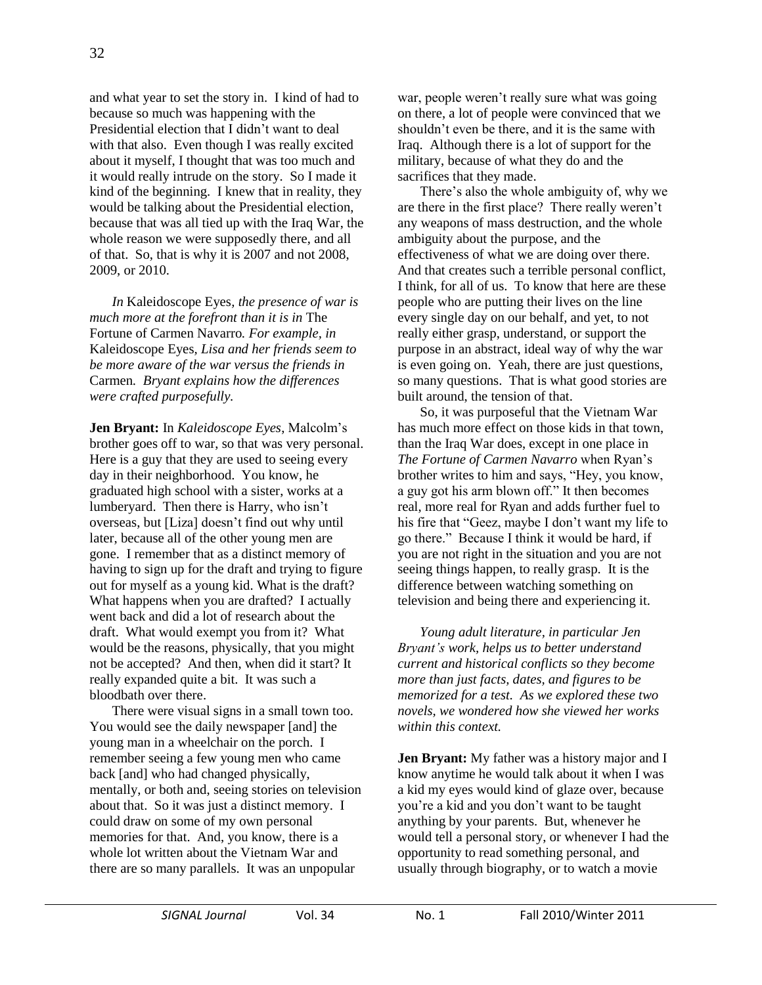and what year to set the story in. I kind of had to because so much was happening with the Presidential election that I didn't want to deal with that also. Even though I was really excited about it myself, I thought that was too much and it would really intrude on the story. So I made it kind of the beginning. I knew that in reality, they would be talking about the Presidential election, because that was all tied up with the Iraq War, the whole reason we were supposedly there, and all of that. So, that is why it is 2007 and not 2008, 2009, or 2010.

*In* Kaleidoscope Eyes*, the presence of war is much more at the forefront than it is in* The Fortune of Carmen Navarro*. For example, in*  Kaleidoscope Eyes*, Lisa and her friends seem to be more aware of the war versus the friends in*  Carmen*. Bryant explains how the differences were crafted purposefully.* 

**Jen Bryant:** In *Kaleidoscope Eyes*, Malcolm's brother goes off to war, so that was very personal. Here is a guy that they are used to seeing every day in their neighborhood. You know, he graduated high school with a sister, works at a lumberyard. Then there is Harry, who isn't overseas, but [Liza] doesn't find out why until later, because all of the other young men are gone. I remember that as a distinct memory of having to sign up for the draft and trying to figure out for myself as a young kid. What is the draft? What happens when you are drafted? I actually went back and did a lot of research about the draft. What would exempt you from it? What would be the reasons, physically, that you might not be accepted? And then, when did it start? It really expanded quite a bit. It was such a bloodbath over there.

There were visual signs in a small town too. You would see the daily newspaper [and] the young man in a wheelchair on the porch. I remember seeing a few young men who came back [and] who had changed physically, mentally, or both and, seeing stories on television about that. So it was just a distinct memory. I could draw on some of my own personal memories for that. And, you know, there is a whole lot written about the Vietnam War and there are so many parallels. It was an unpopular

war, people weren't really sure what was going on there, a lot of people were convinced that we shouldn't even be there, and it is the same with Iraq. Although there is a lot of support for the military, because of what they do and the sacrifices that they made.

There's also the whole ambiguity of, why we are there in the first place? There really weren't any weapons of mass destruction, and the whole ambiguity about the purpose, and the effectiveness of what we are doing over there. And that creates such a terrible personal conflict, I think, for all of us. To know that here are these people who are putting their lives on the line every single day on our behalf, and yet, to not really either grasp, understand, or support the purpose in an abstract, ideal way of why the war is even going on. Yeah, there are just questions, so many questions. That is what good stories are built around, the tension of that.

So, it was purposeful that the Vietnam War has much more effect on those kids in that town, than the Iraq War does, except in one place in *The Fortune of Carmen Navarro* when Ryan's brother writes to him and says, "Hey, you know, a guy got his arm blown off." It then becomes real, more real for Ryan and adds further fuel to his fire that "Geez, maybe I don't want my life to go there.‖ Because I think it would be hard, if you are not right in the situation and you are not seeing things happen, to really grasp. It is the difference between watching something on television and being there and experiencing it.

*Young adult literature, in particular Jen Bryant's work, helps us to better understand current and historical conflicts so they become more than just facts, dates, and figures to be memorized for a test. As we explored these two novels, we wondered how she viewed her works within this context.*

**Jen Bryant:** My father was a history major and I know anytime he would talk about it when I was a kid my eyes would kind of glaze over, because you're a kid and you don't want to be taught anything by your parents. But, whenever he would tell a personal story, or whenever I had the opportunity to read something personal, and usually through biography, or to watch a movie